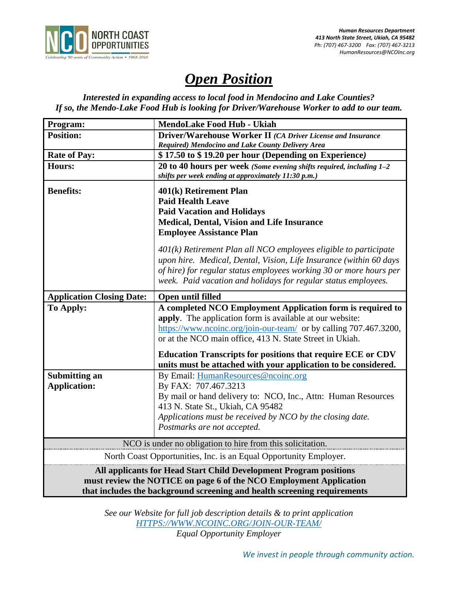

# *Open Position*

*Interested in expanding access to local food in Mendocino and Lake Counties? If so, the Mendo-Lake Food Hub is looking for Driver/Warehouse Worker to add to our team.*

| Program:                                                                                                                                                                                                            | <b>MendoLake Food Hub - Ukiah</b>                                                                                                                                                                                                                                                |
|---------------------------------------------------------------------------------------------------------------------------------------------------------------------------------------------------------------------|----------------------------------------------------------------------------------------------------------------------------------------------------------------------------------------------------------------------------------------------------------------------------------|
| <b>Position:</b>                                                                                                                                                                                                    | Driver/Warehouse Worker II (CA Driver License and Insurance                                                                                                                                                                                                                      |
|                                                                                                                                                                                                                     | Required) Mendocino and Lake County Delivery Area                                                                                                                                                                                                                                |
| <b>Rate of Pay:</b>                                                                                                                                                                                                 | \$17.50 to \$19.20 per hour (Depending on Experience)                                                                                                                                                                                                                            |
| <b>Hours:</b>                                                                                                                                                                                                       | 20 to 40 hours per week (Some evening shifts required, including $1-2$<br>shifts per week ending at approximately 11:30 p.m.)                                                                                                                                                    |
| <b>Benefits:</b>                                                                                                                                                                                                    | 401(k) Retirement Plan<br><b>Paid Health Leave</b><br><b>Paid Vacation and Holidays</b><br><b>Medical, Dental, Vision and Life Insurance</b><br><b>Employee Assistance Plan</b>                                                                                                  |
|                                                                                                                                                                                                                     | $401(k)$ Retirement Plan all NCO employees eligible to participate<br>upon hire. Medical, Dental, Vision, Life Insurance (within 60 days<br>of hire) for regular status employees working 30 or more hours per<br>week. Paid vacation and holidays for regular status employees. |
| <b>Application Closing Date:</b>                                                                                                                                                                                    | Open until filled                                                                                                                                                                                                                                                                |
| To Apply:                                                                                                                                                                                                           | A completed NCO Employment Application form is required to<br>apply. The application form is available at our website:<br>https://www.ncoinc.org/join-our-team/ or by calling 707.467.3200,<br>or at the NCO main office, 413 N. State Street in Ukiah.                          |
|                                                                                                                                                                                                                     | <b>Education Transcripts for positions that require ECE or CDV</b><br>units must be attached with your application to be considered.                                                                                                                                             |
| <b>Submitting an</b><br><b>Application:</b>                                                                                                                                                                         | By Email: HumanResources@ncoinc.org<br>By FAX: 707.467.3213<br>By mail or hand delivery to: NCO, Inc., Attn: Human Resources<br>413 N. State St., Ukiah, CA 95482<br>Applications must be received by NCO by the closing date.<br>Postmarks are not accepted.                    |
| NCO is under no obligation to hire from this solicitation.                                                                                                                                                          |                                                                                                                                                                                                                                                                                  |
| North Coast Opportunities, Inc. is an Equal Opportunity Employer.                                                                                                                                                   |                                                                                                                                                                                                                                                                                  |
| All applicants for Head Start Child Development Program positions<br>must review the NOTICE on page 6 of the NCO Employment Application<br>that includes the background screening and health screening requirements |                                                                                                                                                                                                                                                                                  |

*See our Website for full job description details & to print application [HTTPS://WWW.NCOINC.ORG/JOIN-OUR-TEAM/](https://www.ncoinc.org/join-our-team/) Equal Opportunity Employer*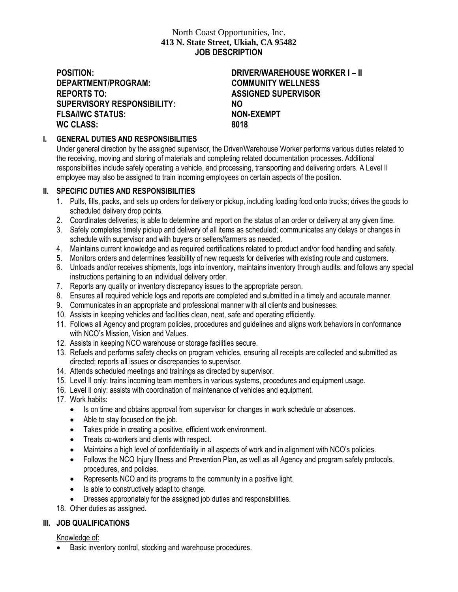# North Coast Opportunities, Inc. **413 N. State Street, Ukiah, CA 95482 JOB DESCRIPTION**

**DEPARTMENT/PROGRAM: COMMUNITY WELLNESS REPORTS TO: ASSIGNED SUPERVISOR SUPERVISORY RESPONSIBILITY: NO FLSA/IWC STATUS: NON-EXEMPT WC CLASS: 8018**

# **POSITION: DRIVER/WAREHOUSE WORKER I – II**

# **I. GENERAL DUTIES AND RESPONSIBILITIES**

Under general direction by the assigned supervisor, the Driver/Warehouse Worker performs various duties related to the receiving, moving and storing of materials and completing related documentation processes. Additional responsibilities include safely operating a vehicle, and processing, transporting and delivering orders. A Level II employee may also be assigned to train incoming employees on certain aspects of the position.

#### **II. SPECIFIC DUTIES AND RESPONSIBILITIES**

- 1. Pulls, fills, packs, and sets up orders for delivery or pickup, including loading food onto trucks; drives the goods to scheduled delivery drop points.
- 2. Coordinates deliveries; is able to determine and report on the status of an order or delivery at any given time.
- 3. Safely completes timely pickup and delivery of all items as scheduled; communicates any delays or changes in schedule with supervisor and with buyers or sellers/farmers as needed.
- 4. Maintains current knowledge and as required certifications related to product and/or food handling and safety.
- 5. Monitors orders and determines feasibility of new requests for deliveries with existing route and customers.
- 6. Unloads and/or receives shipments, logs into inventory, maintains inventory through audits, and follows any special instructions pertaining to an individual delivery order.
- 7. Reports any quality or inventory discrepancy issues to the appropriate person.
- 8. Ensures all required vehicle logs and reports are completed and submitted in a timely and accurate manner.
- 9. Communicates in an appropriate and professional manner with all clients and businesses.
- 10. Assists in keeping vehicles and facilities clean, neat, safe and operating efficiently.
- 11. Follows all Agency and program policies, procedures and guidelines and aligns work behaviors in conformance with NCO's Mission, Vision and Values.
- 12. Assists in keeping NCO warehouse or storage facilities secure.
- 13. Refuels and performs safety checks on program vehicles, ensuring all receipts are collected and submitted as directed; reports all issues or discrepancies to supervisor.
- 14. Attends scheduled meetings and trainings as directed by supervisor.
- 15. Level II only: trains incoming team members in various systems, procedures and equipment usage.
- 16. Level II only: assists with coordination of maintenance of vehicles and equipment.
- 17. Work habits:
	- Is on time and obtains approval from supervisor for changes in work schedule or absences.
	- Able to stay focused on the job.
	- Takes pride in creating a positive, efficient work environment.
	- Treats co-workers and clients with respect.
	- Maintains a high level of confidentiality in all aspects of work and in alignment with NCO's policies.
	- Follows the NCO Injury Illness and Prevention Plan, as well as all Agency and program safety protocols, procedures, and policies.
	- Represents NCO and its programs to the community in a positive light.
	- Is able to constructively adapt to change.
	- Dresses appropriately for the assigned job duties and responsibilities.
- 18. Other duties as assigned.

# **III. JOB QUALIFICATIONS**

Knowledge of:

• Basic inventory control, stocking and warehouse procedures.